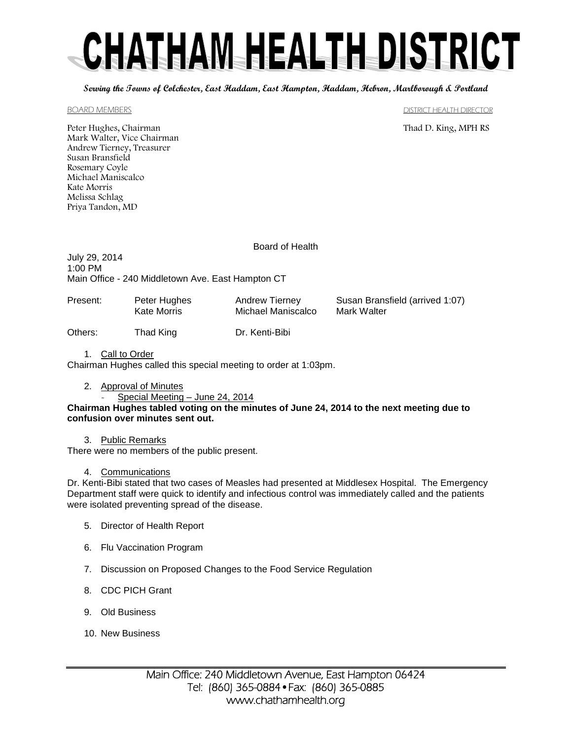# CHATHAM HEALTH DISTRICT

**Serving the Towns of Colchester, East Haddam, East Hampton, Haddam, Hebron, Marlborough & Portland**

#### BOARD MEMBERS **EXECUTE IN THE SET OF STATE IN THE SET OF STATE IN THE SET OF STATE IN THE SET OF STATE IN THE STATE IN THE STATE IN THE STATE IN THE STATE IN THE STATE IN THE STATE IN THE STATE IN THE STATE IN THE STATE IN**

Peter Hughes, Chairman Thad D. King, MPH RS Mark Walter, Vice Chairman Andrew Tierney, Treasurer Susan Bransfield Rosemary Coyle Michael Maniscalco Kate Morris Melissa Schlag Priya Tandon, MD

Board of Health

July 29, 2014 1:00 PM Main Office - 240 Middletown Ave. East Hampton CT

Others: Thad King Dr. Kenti-Bibi

| Present: | Peter Hughes | Andrew Tierney     | Susan Bransfield (arrived 1:07) |
|----------|--------------|--------------------|---------------------------------|
|          | Kate Morris  | Michael Maniscalco | Mark Walter                     |
|          |              |                    |                                 |

1. Call to Order Chairman Hughes called this special meeting to order at 1:03pm.

2. Approval of Minutes

Special Meeting - June 24, 2014

**Chairman Hughes tabled voting on the minutes of June 24, 2014 to the next meeting due to confusion over minutes sent out.** 

### 3. Public Remarks

There were no members of the public present.

### 4. Communications

Dr. Kenti-Bibi stated that two cases of Measles had presented at Middlesex Hospital. The Emergency Department staff were quick to identify and infectious control was immediately called and the patients were isolated preventing spread of the disease.

- 5. Director of Health Report
- 6. Flu Vaccination Program
- 7. Discussion on Proposed Changes to the Food Service Regulation
- 8. CDC PICH Grant
- 9. Old Business
- 10. New Business